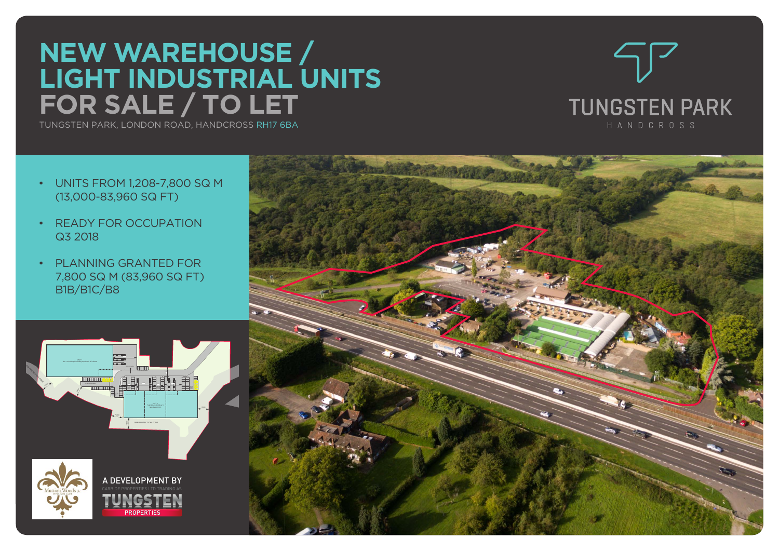# **NEW WAREHOUSE / LIGHT INDUSTRIAL UNITS FOR SALE / TO LET**

TUNGSTEN PARK, LONDON ROAD, HANDCROSS RH17 6BA



- UNITS FROM 1,208-7,800 SQ M (13,000-83,960 SQ FT)
- READY FOR OCCUPATION Q3 2018
- PLANNING GRANTED FOR 7,800 SQ M (83,960 SQ FT) B1B/B1C/B8



**PROPERTIL**